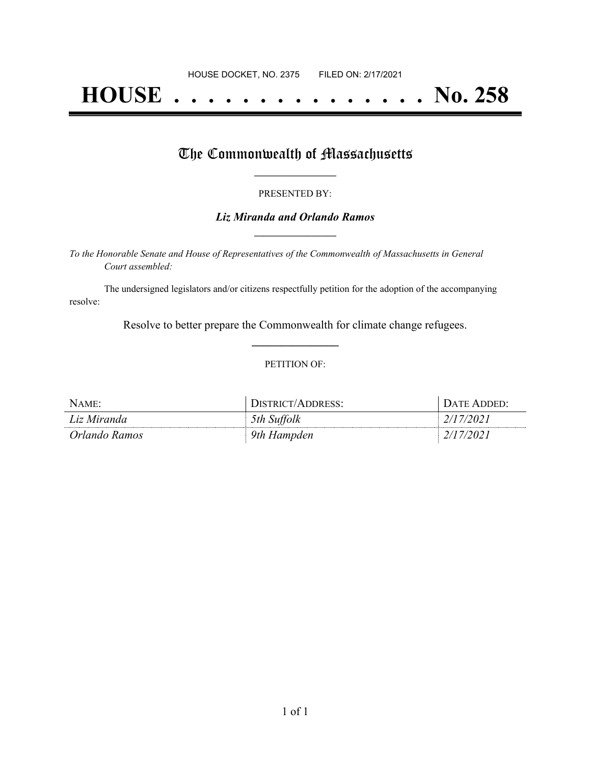# **HOUSE . . . . . . . . . . . . . . . No. 258**

## The Commonwealth of Massachusetts

#### PRESENTED BY:

### *Liz Miranda and Orlando Ramos* **\_\_\_\_\_\_\_\_\_\_\_\_\_\_\_\_\_**

*To the Honorable Senate and House of Representatives of the Commonwealth of Massachusetts in General Court assembled:*

The undersigned legislators and/or citizens respectfully petition for the adoption of the accompanying resolve:

> Resolve to better prepare the Commonwealth for climate change refugees. **\_\_\_\_\_\_\_\_\_\_\_\_\_\_\_**

#### PETITION OF:

| NAME:         | DISTRICT/ADDRESS: | DATE ADDED:         |
|---------------|-------------------|---------------------|
| Liz Miranda   | 5th Suffolk       | 2/17/2021           |
| Orlando Ramos | 9th Hampden       | $\frac{2}{17/2021}$ |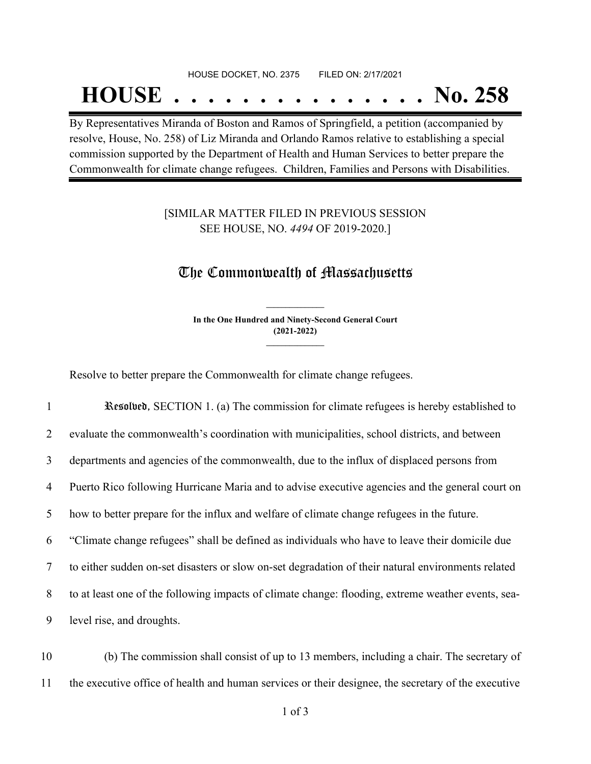# HOUSE DOCKET, NO. 2375 FILED ON: 2/17/2021 **HOUSE . . . . . . . . . . . . . . . No. 258**

By Representatives Miranda of Boston and Ramos of Springfield, a petition (accompanied by resolve, House, No. 258) of Liz Miranda and Orlando Ramos relative to establishing a special commission supported by the Department of Health and Human Services to better prepare the Commonwealth for climate change refugees. Children, Families and Persons with Disabilities.

## [SIMILAR MATTER FILED IN PREVIOUS SESSION SEE HOUSE, NO. *4494* OF 2019-2020.]

## The Commonwealth of Massachusetts

**In the One Hundred and Ninety-Second General Court (2021-2022) \_\_\_\_\_\_\_\_\_\_\_\_\_\_\_**

**\_\_\_\_\_\_\_\_\_\_\_\_\_\_\_**

Resolve to better prepare the Commonwealth for climate change refugees.

 Resolved, SECTION 1. (a) The commission for climate refugees is hereby established to evaluate the commonwealth's coordination with municipalities, school districts, and between departments and agencies of the commonwealth, due to the influx of displaced persons from Puerto Rico following Hurricane Maria and to advise executive agencies and the general court on how to better prepare for the influx and welfare of climate change refugees in the future. "Climate change refugees" shall be defined as individuals who have to leave their domicile due to either sudden on-set disasters or slow on-set degradation of their natural environments related to at least one of the following impacts of climate change: flooding, extreme weather events, sea-level rise, and droughts.

10 (b) The commission shall consist of up to 13 members, including a chair. The secretary of 11 the executive office of health and human services or their designee, the secretary of the executive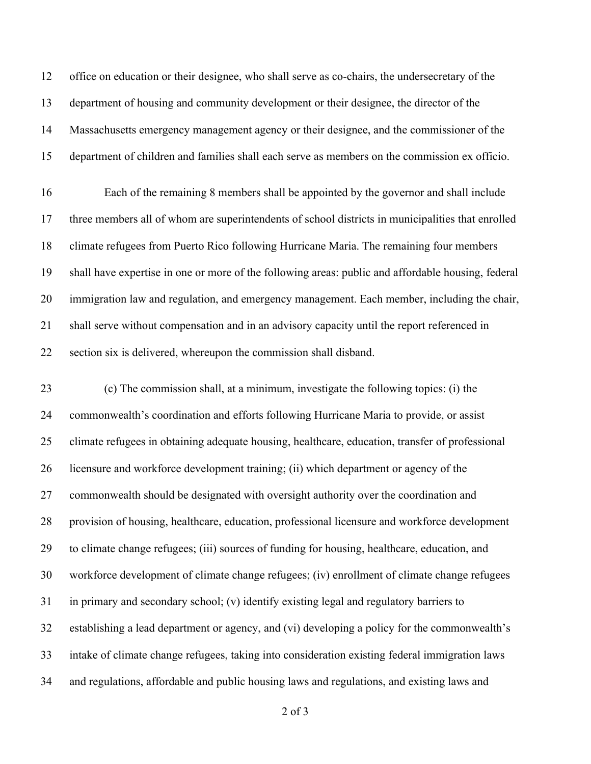office on education or their designee, who shall serve as co-chairs, the undersecretary of the department of housing and community development or their designee, the director of the Massachusetts emergency management agency or their designee, and the commissioner of the department of children and families shall each serve as members on the commission ex officio.

 Each of the remaining 8 members shall be appointed by the governor and shall include three members all of whom are superintendents of school districts in municipalities that enrolled climate refugees from Puerto Rico following Hurricane Maria. The remaining four members shall have expertise in one or more of the following areas: public and affordable housing, federal immigration law and regulation, and emergency management. Each member, including the chair, shall serve without compensation and in an advisory capacity until the report referenced in section six is delivered, whereupon the commission shall disband.

 (c) The commission shall, at a minimum, investigate the following topics: (i) the commonwealth's coordination and efforts following Hurricane Maria to provide, or assist climate refugees in obtaining adequate housing, healthcare, education, transfer of professional licensure and workforce development training; (ii) which department or agency of the commonwealth should be designated with oversight authority over the coordination and provision of housing, healthcare, education, professional licensure and workforce development to climate change refugees; (iii) sources of funding for housing, healthcare, education, and workforce development of climate change refugees; (iv) enrollment of climate change refugees in primary and secondary school; (v) identify existing legal and regulatory barriers to establishing a lead department or agency, and (vi) developing a policy for the commonwealth's intake of climate change refugees, taking into consideration existing federal immigration laws and regulations, affordable and public housing laws and regulations, and existing laws and

of 3